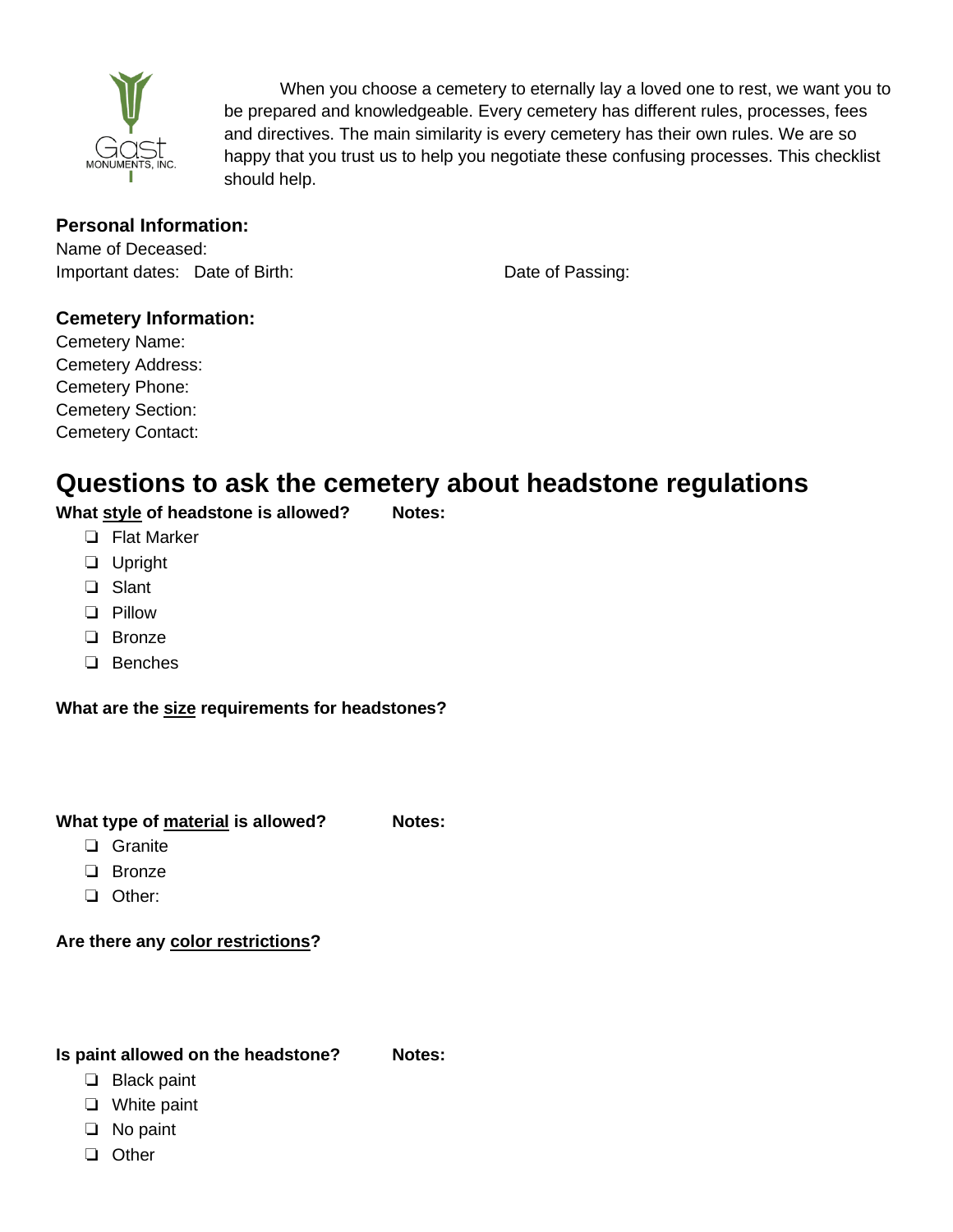

When you choose a cemetery to eternally lay a loved one to rest, we want you to be prepared and knowledgeable. Every cemetery has different rules, processes, fees and directives. The main similarity is every cemetery has their own rules. We are so happy that you trust us to help you negotiate these confusing processes. This checklist should help.

## **Personal Information:**

Name of Deceased: Important dates: Date of Birth: Date of Passing:

# **Cemetery Information:**

Cemetery Name: Cemetery Address: Cemetery Phone: Cemetery Section: Cemetery Contact:

# **Questions to ask the cemetery about headstone regulations**

**What style of headstone is allowed? Notes:**

- ❏ Flat Marker
- ❏ Upright
- ❏ Slant
- ❏ Pillow
- ❏ Bronze
- ❏ Benches

**What are the size requirements for headstones?**

### **What type of material is allowed?** Notes:

- ❏ Granite
- ❏ Bronze
- ❏ Other:

## **Are there any color restrictions?**

#### **Is paint allowed on the headstone? Notes:**

- ❏ Black paint
- ❏ White paint
- ❏ No paint
- ❏ Other